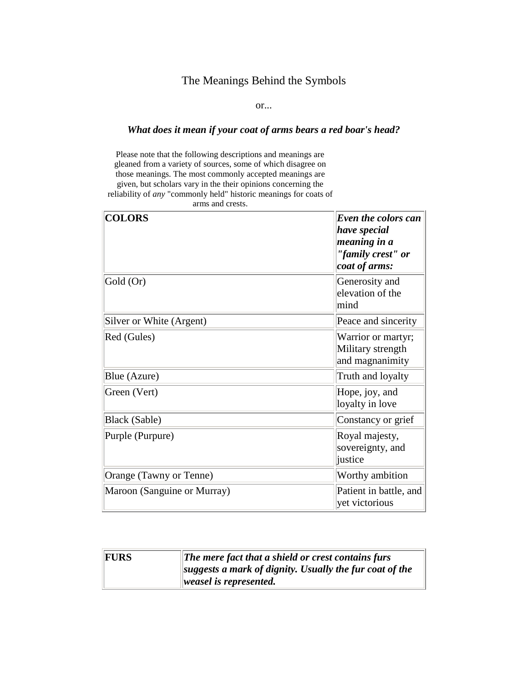## The Meanings Behind the Symbols

or...

## *What does it mean if your coat of arms bears a red boar's head?*

Please note that the following descriptions and meanings are gleaned from a variety of sources, some of which disagree on those meanings. The most commonly accepted meanings are given, but scholars vary in the their opinions concerning the reliability of *any* "commonly held" historic meanings for coats of

arms and crests.

| <b>COLORS</b>               | Even the colors can<br>have special<br>meaning in a<br>"family crest" or<br>coat of arms: |
|-----------------------------|-------------------------------------------------------------------------------------------|
| Gold (Or)                   | Generosity and<br>elevation of the<br>mind                                                |
| Silver or White (Argent)    | Peace and sincerity                                                                       |
| Red (Gules)                 | Warrior or martyr;<br>Military strength<br>and magnanimity                                |
| Blue (Azure)                | Truth and loyalty                                                                         |
| Green (Vert)                | Hope, joy, and<br>loyalty in love                                                         |
| Black (Sable)               | Constancy or grief                                                                        |
| Purple (Purpure)            | Royal majesty,<br>sovereignty, and<br>justice                                             |
| Orange (Tawny or Tenne)     | Worthy ambition                                                                           |
| Maroon (Sanguine or Murray) | Patient in battle, and<br>yet victorious                                                  |

| FURS | The mere fact that a shield or crest contains furs                |
|------|-------------------------------------------------------------------|
|      | $\left\ $ suggests a mark of dignity. Usually the fur coat of the |
|      | $\parallel$ weasel is represented.                                |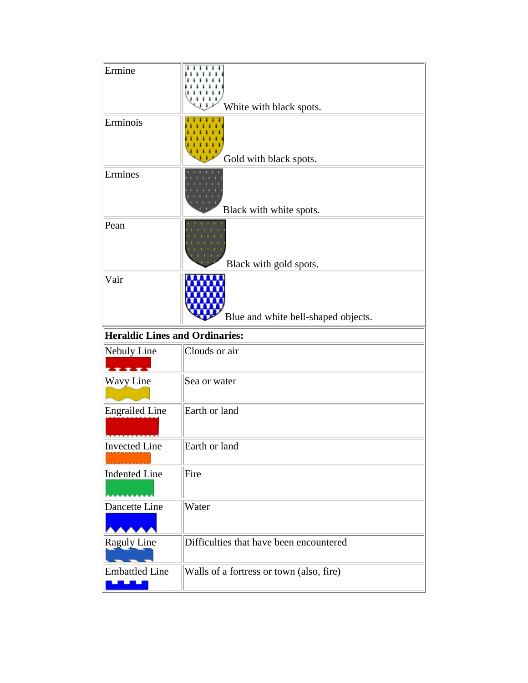| Ermine                                | White with black spots.                 |
|---------------------------------------|-----------------------------------------|
| Erminois                              | Gold with black spots.                  |
| Ermines                               | Black with white spots.                 |
| Pean                                  | Black with gold spots.                  |
| Vair                                  | Blue and white bell-shaped objects.     |
|                                       |                                         |
| <b>Heraldic Lines and Ordinaries:</b> |                                         |
| Nebuly Line<br>$x - s$                | Clouds or air                           |
| Wavy Line                             | Sea or water                            |
| <b>Engrailed Line</b>                 | Earth or land                           |
| Invected Line                         | Earth or land                           |
| Indented Line                         | Fire                                    |
| Dancette Line                         | Water                                   |
| Raguly Line                           | Difficulties that have been encountered |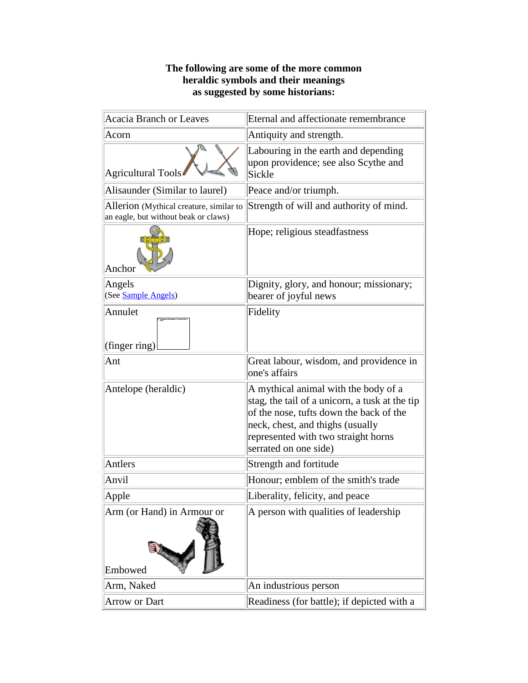## **The following are some of the more common heraldic symbols and their meanings as suggested by some historians:**

| <b>Acacia Branch or Leaves</b>                                                  | Eternal and affectionate remembrance                                                                                                                                                                                                  |
|---------------------------------------------------------------------------------|---------------------------------------------------------------------------------------------------------------------------------------------------------------------------------------------------------------------------------------|
| Acorn                                                                           | Antiquity and strength.                                                                                                                                                                                                               |
| Agricultural Tools                                                              | Labouring in the earth and depending<br>upon providence; see also Scythe and<br>Sickle                                                                                                                                                |
| Alisaunder (Similar to laurel)                                                  | Peace and/or triumph.                                                                                                                                                                                                                 |
| Allerion (Mythical creature, similar to<br>an eagle, but without beak or claws) | Strength of will and authority of mind.                                                                                                                                                                                               |
| Anchor                                                                          | Hope; religious steadfastness                                                                                                                                                                                                         |
| Angels<br>(See Sample Angels)                                                   | Dignity, glory, and honour; missionary;<br>bearer of joyful news                                                                                                                                                                      |
| Annulet<br>(finger ring)                                                        | Fidelity                                                                                                                                                                                                                              |
| Ant                                                                             | Great labour, wisdom, and providence in<br>one's affairs                                                                                                                                                                              |
| Antelope (heraldic)                                                             | A mythical animal with the body of a<br>stag, the tail of a unicorn, a tusk at the tip<br>of the nose, tufts down the back of the<br>neck, chest, and thighs (usually<br>represented with two straight horns<br>serrated on one side) |
| Antlers                                                                         | Strength and fortitude                                                                                                                                                                                                                |
| Anvil                                                                           | Honour; emblem of the smith's trade                                                                                                                                                                                                   |
| Apple                                                                           | Liberality, felicity, and peace                                                                                                                                                                                                       |
| Arm (or Hand) in Armour or<br>Embowed                                           | A person with qualities of leadership                                                                                                                                                                                                 |
| Arm, Naked                                                                      | An industrious person                                                                                                                                                                                                                 |
| Arrow or Dart                                                                   | Readiness (for battle); if depicted with a                                                                                                                                                                                            |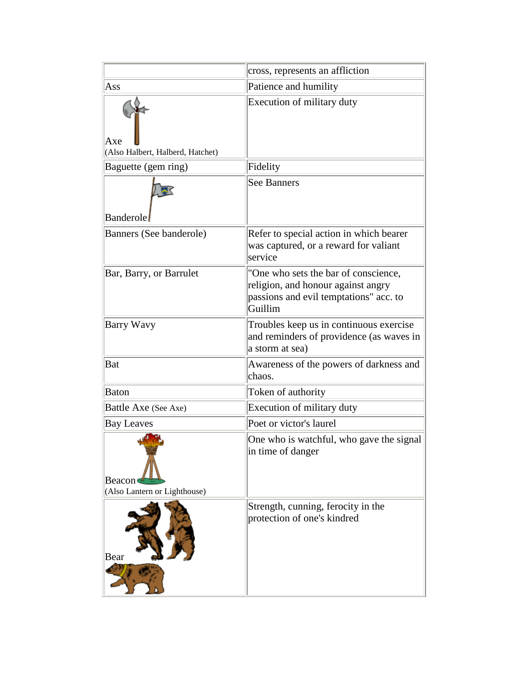|                                               | cross, represents an affliction                                                                                                 |
|-----------------------------------------------|---------------------------------------------------------------------------------------------------------------------------------|
| Ass                                           | Patience and humility                                                                                                           |
| Axe<br>(Also Halbert, Halberd, Hatchet)       | Execution of military duty                                                                                                      |
| Baguette (gem ring)                           | Fidelity                                                                                                                        |
| <b>Banderole</b>                              | <b>See Banners</b>                                                                                                              |
| Banners (See banderole)                       | Refer to special action in which bearer<br>was captured, or a reward for valiant<br>service                                     |
| Bar, Barry, or Barrulet                       | "One who sets the bar of conscience,<br>religion, and honour against angry<br>passions and evil temptations" acc. to<br>Guillim |
| <b>Barry Wavy</b>                             | Troubles keep us in continuous exercise<br>and reminders of providence (as waves in<br>a storm at sea)                          |
| Bat                                           | Awareness of the powers of darkness and<br>chaos.                                                                               |
| <b>Baton</b>                                  | Token of authority                                                                                                              |
| Battle Axe (See Axe)                          | Execution of military duty                                                                                                      |
| <b>Bay Leaves</b>                             | Poet or victor's laurel                                                                                                         |
| <b>Beacon</b><br>(Also Lantern or Lighthouse) | One who is watchful, who gave the signal<br>in time of danger                                                                   |
| Bear                                          | Strength, cunning, ferocity in the<br>protection of one's kindred                                                               |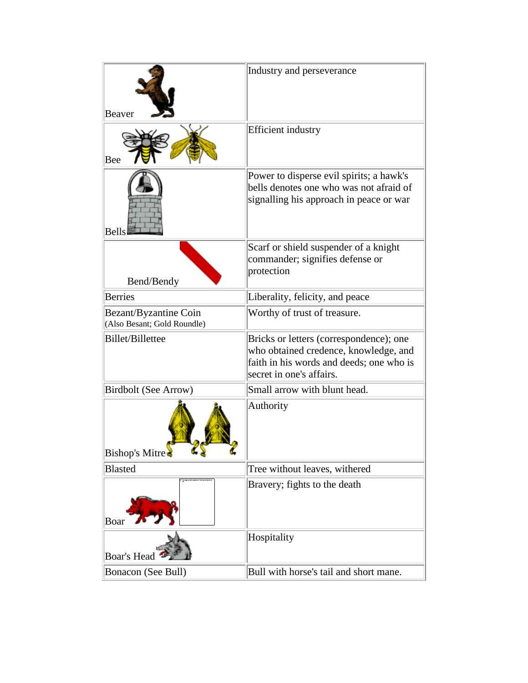| Beaver                                               | Industry and perseverance                                                                                                                                |
|------------------------------------------------------|----------------------------------------------------------------------------------------------------------------------------------------------------------|
| Bee                                                  | <b>Efficient</b> industry                                                                                                                                |
| <b>Bells</b>                                         | Power to disperse evil spirits; a hawk's<br>bells denotes one who was not afraid of<br>signalling his approach in peace or war                           |
| Bend/Bendy                                           | Scarf or shield suspender of a knight<br>commander; signifies defense or<br>protection                                                                   |
| <b>Berries</b>                                       | Liberality, felicity, and peace                                                                                                                          |
| Bezant/Byzantine Coin<br>(Also Besant; Gold Roundle) | Worthy of trust of treasure.                                                                                                                             |
| Billet/Billettee                                     | Bricks or letters (correspondence); one<br>who obtained credence, knowledge, and<br>faith in his words and deeds; one who is<br>secret in one's affairs. |
| <b>Birdbolt (See Arrow)</b>                          | Small arrow with blunt head.                                                                                                                             |
| Bishop's Mitre<br>ď.                                 | Authority                                                                                                                                                |
| <b>Blasted</b>                                       | Tree without leaves, withered                                                                                                                            |
| Boar                                                 | Bravery; fights to the death                                                                                                                             |
| <b>Boar's Head</b>                                   | Hospitality                                                                                                                                              |
| Bonacon (See Bull)                                   | Bull with horse's tail and short mane.                                                                                                                   |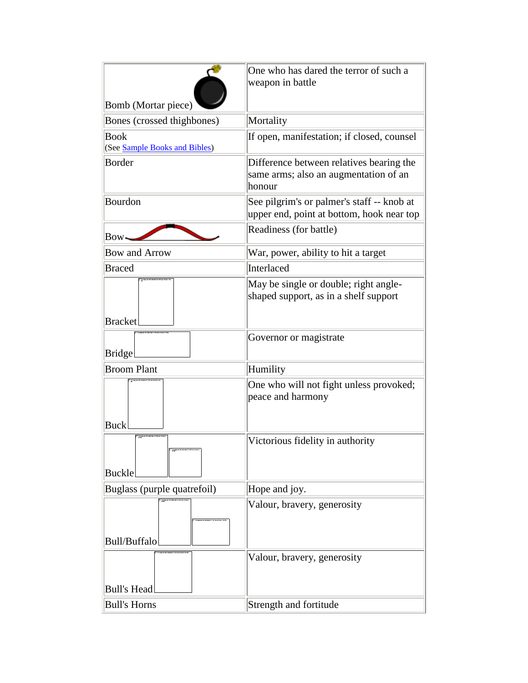|                                              | One who has dared the terror of such a                                                      |
|----------------------------------------------|---------------------------------------------------------------------------------------------|
|                                              | weapon in battle                                                                            |
| Bomb (Mortar piece)                          |                                                                                             |
| Bones (crossed thighbones)                   | Mortality                                                                                   |
| <b>Book</b><br>(See Sample Books and Bibles) | If open, manifestation; if closed, counsel                                                  |
| <b>Border</b>                                | Difference between relatives bearing the<br>same arms; also an augmentation of an<br>honour |
| Bourdon                                      | See pilgrim's or palmer's staff -- knob at<br>upper end, point at bottom, hook near top     |
| Bow•                                         | Readiness (for battle)                                                                      |
| <b>Bow and Arrow</b>                         | War, power, ability to hit a target                                                         |
| <b>Braced</b>                                | Interlaced                                                                                  |
|                                              | May be single or double; right angle-<br>shaped support, as in a shelf support              |
| <b>Bracket</b>                               |                                                                                             |
| <b>Bridge</b>                                | Governor or magistrate                                                                      |
| <b>Broom Plant</b>                           | Humility                                                                                    |
| <b>Buck</b>                                  | One who will not fight unless provoked;<br>peace and harmony                                |
| <b>Buckle</b>                                | Victorious fidelity in authority                                                            |
| Buglass (purple quatrefoil)                  | Hope and joy.                                                                               |
| <b>Bull/Buffalo</b>                          | Valour, bravery, generosity                                                                 |
| <b>Bull's Head</b>                           | Valour, bravery, generosity                                                                 |
| <b>Bull's Horns</b>                          | Strength and fortitude                                                                      |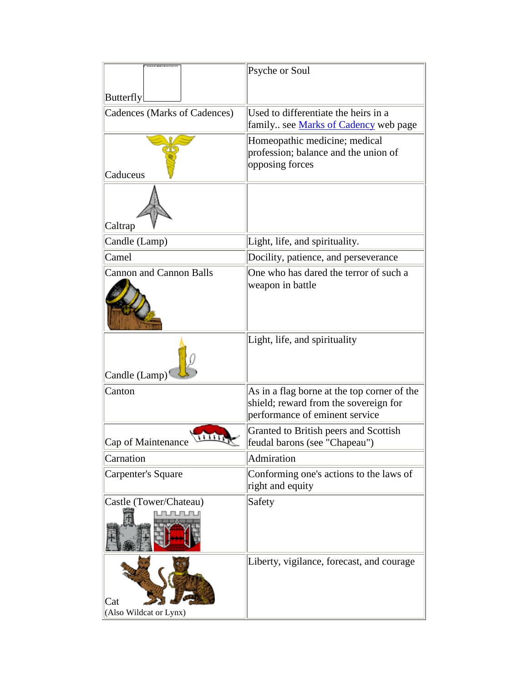|                                     | Psyche or Soul                                                                                                         |
|-------------------------------------|------------------------------------------------------------------------------------------------------------------------|
| Butterfly                           |                                                                                                                        |
| <b>Cadences (Marks of Cadences)</b> | Used to differentiate the heirs in a<br>family see Marks of Cadency web page                                           |
| Caduceus                            | Homeopathic medicine; medical<br>profession; balance and the union of<br>opposing forces                               |
| Caltrap                             |                                                                                                                        |
| Candle (Lamp)                       | Light, life, and spirituality.                                                                                         |
| Camel                               | Docility, patience, and perseverance                                                                                   |
| <b>Cannon and Cannon Balls</b>      | One who has dared the terror of such a<br>weapon in battle                                                             |
| Candle (Lamp)                       | Light, life, and spirituality                                                                                          |
| Canton                              | As in a flag borne at the top corner of the<br>shield; reward from the sovereign for<br>performance of eminent service |
| Cap of Maintenance                  | Granted to British peers and Scottish<br>feudal barons (see "Chapeau")                                                 |
| Carnation                           | Admiration                                                                                                             |
| <b>Carpenter's Square</b>           | Conforming one's actions to the laws of<br>right and equity                                                            |
| Castle (Tower/Chateau)              | Safety                                                                                                                 |
| Cat<br>(Also Wildcat or Lynx)       | Liberty, vigilance, forecast, and courage                                                                              |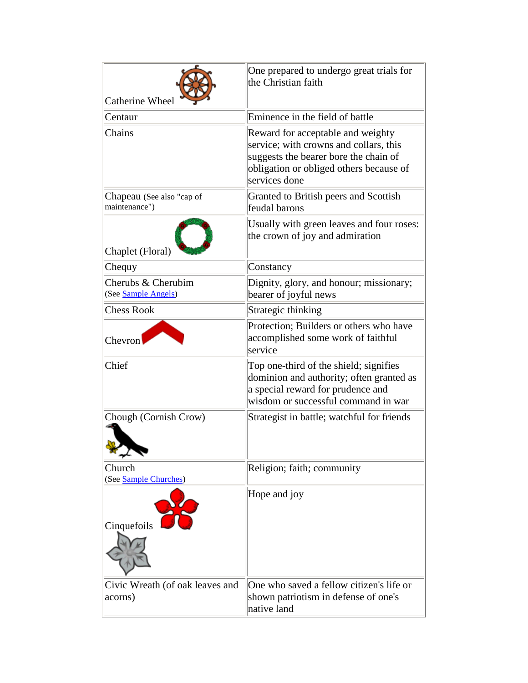|                                            | One prepared to undergo great trials for<br>the Christian faith                                                                                                                  |
|--------------------------------------------|----------------------------------------------------------------------------------------------------------------------------------------------------------------------------------|
| Catherine Wheel                            |                                                                                                                                                                                  |
| Centaur                                    | Eminence in the field of battle                                                                                                                                                  |
| Chains                                     | Reward for acceptable and weighty<br>service; with crowns and collars, this<br>suggests the bearer bore the chain of<br>obligation or obliged others because of<br>services done |
| Chapeau (See also "cap of<br>maintenance") | Granted to British peers and Scottish<br>feudal barons                                                                                                                           |
| Chaplet (Floral)                           | Usually with green leaves and four roses:<br>the crown of joy and admiration                                                                                                     |
| Chequy                                     | Constancy                                                                                                                                                                        |
| Cherubs & Cherubim<br>(See Sample Angels)  | Dignity, glory, and honour; missionary;<br>bearer of joyful news                                                                                                                 |
| <b>Chess Rook</b>                          | Strategic thinking                                                                                                                                                               |
| Chevron                                    | Protection; Builders or others who have<br>accomplished some work of faithful<br>service                                                                                         |
| Chief                                      | Top one-third of the shield; signifies<br>dominion and authority; often granted as<br>a special reward for prudence and<br>wisdom or successful command in war                   |
| Chough (Cornish Crow)<br>শ্≁ক              | Strategist in battle; watchful for friends                                                                                                                                       |
| Church<br>(See Sample Churches)            | Religion; faith; community                                                                                                                                                       |
| Cinquefoils                                | Hope and joy                                                                                                                                                                     |
| Civic Wreath (of oak leaves and<br>acorns) | One who saved a fellow citizen's life or<br>shown patriotism in defense of one's<br>native land                                                                                  |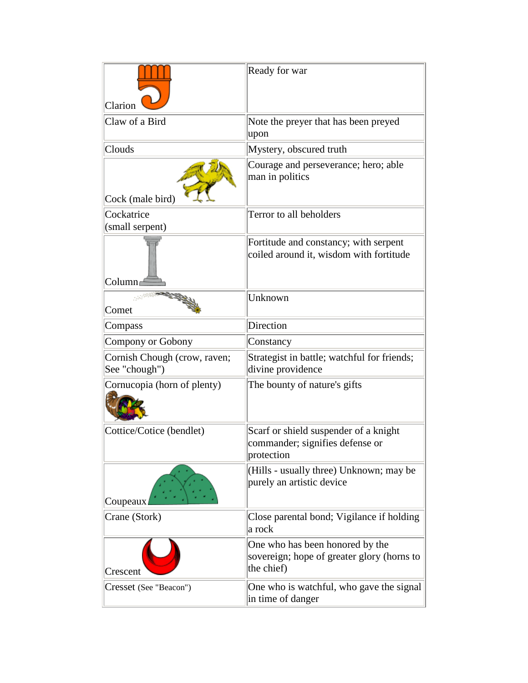| Clarion                                       | Ready for war                                                                               |
|-----------------------------------------------|---------------------------------------------------------------------------------------------|
| Claw of a Bird                                | Note the preyer that has been preyed<br>upon                                                |
| Clouds                                        | Mystery, obscured truth                                                                     |
| Cock (male bird)                              | Courage and perseverance; hero; able<br>man in politics                                     |
| Cockatrice                                    | Terror to all beholders                                                                     |
| (small serpent)                               |                                                                                             |
| Column                                        | Fortitude and constancy; with serpent<br>coiled around it, wisdom with fortitude            |
| Comet                                         | Unknown                                                                                     |
| Compass                                       | Direction                                                                                   |
| Compony or Gobony                             | Constancy                                                                                   |
| Cornish Chough (crow, raven;<br>See "chough") | Strategist in battle; watchful for friends;<br>divine providence                            |
| Cornucopia (horn of plenty)                   | The bounty of nature's gifts                                                                |
| Cottice/Cotice (bendlet)                      | Scarf or shield suspender of a knight<br>commander; signifies defense or<br>protection      |
| Coupeaux                                      | (Hills - usually three) Unknown; may be<br>purely an artistic device                        |
| Crane (Stork)                                 | Close parental bond; Vigilance if holding<br>a rock                                         |
| Crescent                                      | One who has been honored by the<br>sovereign; hope of greater glory (horns to<br>the chief) |
| Cresset (See "Beacon")                        | One who is watchful, who gave the signal<br>in time of danger                               |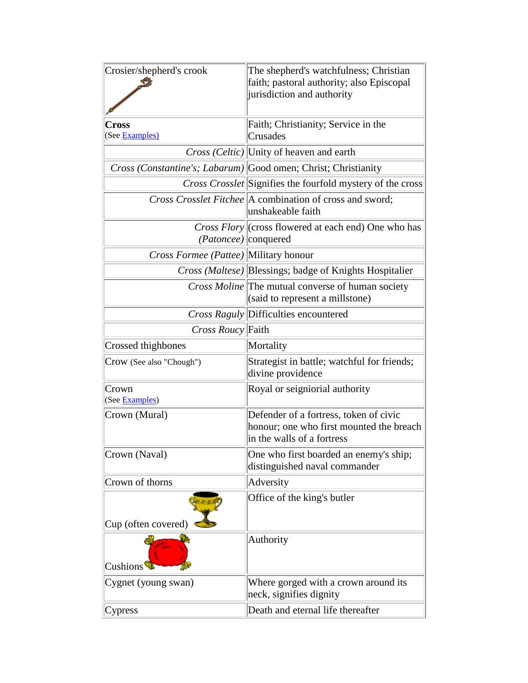| Crosier/shepherd's crook                     | The shepherd's watchfulness; Christian<br>faith; pastoral authority; also Episcopal<br>jurisdiction and authority |
|----------------------------------------------|-------------------------------------------------------------------------------------------------------------------|
| Cross<br>(See Examples)                      | Faith; Christianity; Service in the<br>Crusades                                                                   |
|                                              | <i>Cross (Celtic)</i> Unity of heaven and earth                                                                   |
|                                              | <i>Cross (Constantine's; Labarum)</i> Good omen; Christ; Christianity                                             |
|                                              | <i>Cross Crosslet</i> Signifies the fourfold mystery of the cross                                                 |
|                                              | <i>Cross Crosslet Fitchee</i> A combination of cross and sword;<br>unshakeable faith                              |
| <i>(Patoncee)</i>   conquered                | Cross Flory  (cross flowered at each end) One who has                                                             |
| <i>Cross Formee (Pattee)</i> Military honour |                                                                                                                   |
|                                              | <i>Cross (Maltese)</i> Blessings; badge of Knights Hospitalier                                                    |
|                                              | <i>Cross Moline</i> The mutual converse of human society<br>(said to represent a millstone)                       |
|                                              | Cross Raguly Difficulties encountered                                                                             |
| Cross Roucy Faith                            |                                                                                                                   |
| Crossed thighbones                           | Mortality                                                                                                         |
| Crow (See also "Chough")                     | Strategist in battle; watchful for friends;<br>divine providence                                                  |
|                                              |                                                                                                                   |
| Crown<br>(See Examples)                      | Royal or seigniorial authority                                                                                    |
| Crown (Mural)                                | Defender of a fortress, token of civic<br>honour; one who first mounted the breach<br>in the walls of a fortress  |
| Crown (Naval)                                | One who first boarded an enemy's ship;<br>distinguished naval commander                                           |
| Crown of thorns                              | Adversity                                                                                                         |
| Cup (often covered)                          | Office of the king's butler                                                                                       |
| Cushions <sup>'</sup>                        | Authority                                                                                                         |
| Cygnet (young swan)                          | Where gorged with a crown around its<br>neck, signifies dignity                                                   |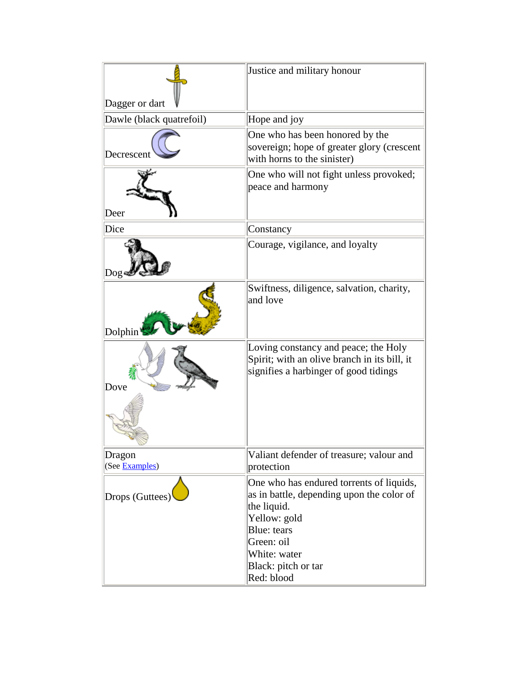| Dagger or dart           | Justice and military honour                                                                                                                                                                            |
|--------------------------|--------------------------------------------------------------------------------------------------------------------------------------------------------------------------------------------------------|
| Dawle (black quatrefoil) | Hope and joy                                                                                                                                                                                           |
| Decrescent               | One who has been honored by the<br>sovereign; hope of greater glory (crescent<br>with horns to the sinister)                                                                                           |
| Deer                     | One who will not fight unless provoked;<br>peace and harmony                                                                                                                                           |
| Dice                     | Constancy                                                                                                                                                                                              |
| Dog                      | Courage, vigilance, and loyalty                                                                                                                                                                        |
| Dolphin                  | Swiftness, diligence, salvation, charity,<br>and love                                                                                                                                                  |
| Dove                     | Loving constancy and peace; the Holy<br>Spirit; with an olive branch in its bill, it<br>signifies a harbinger of good tidings                                                                          |
| Dragon<br>(See Examples) | Valiant defender of treasure; valour and<br>protection                                                                                                                                                 |
| Drops (Guttees)          | One who has endured torrents of liquids,<br>as in battle, depending upon the color of<br>the liquid.<br>Yellow: gold<br>Blue: tears<br>Green: oil<br>White: water<br>Black: pitch or tar<br>Red: blood |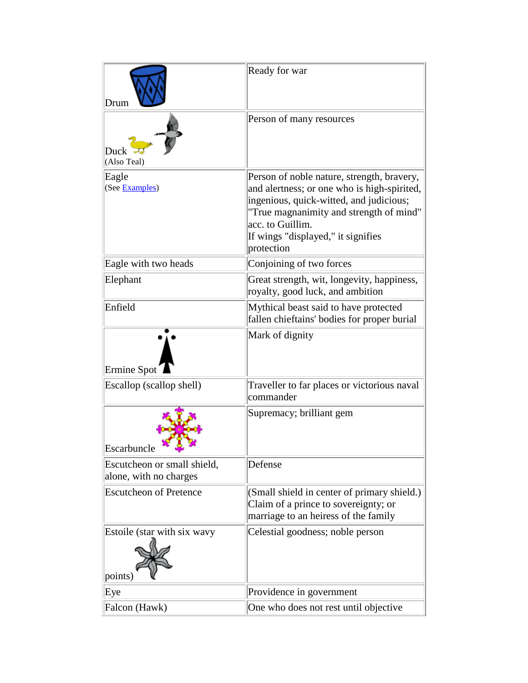| Drum                                                  | Ready for war                                                                                                                                                                                                                                           |
|-------------------------------------------------------|---------------------------------------------------------------------------------------------------------------------------------------------------------------------------------------------------------------------------------------------------------|
| Duck<br>(Also Teal)                                   | Person of many resources                                                                                                                                                                                                                                |
| Eagle<br>(See Examples)                               | Person of noble nature, strength, bravery,<br>and alertness; or one who is high-spirited,<br>ingenious, quick-witted, and judicious;<br>"True magnanimity and strength of mind"<br>acc. to Guillim.<br>If wings "displayed," it signifies<br>protection |
| Eagle with two heads                                  | Conjoining of two forces                                                                                                                                                                                                                                |
| Elephant                                              | Great strength, wit, longevity, happiness,<br>royalty, good luck, and ambition                                                                                                                                                                          |
| Enfield                                               | Mythical beast said to have protected<br>fallen chieftains' bodies for proper burial                                                                                                                                                                    |
| Ermine Spot                                           | Mark of dignity                                                                                                                                                                                                                                         |
| Escallop (scallop shell)                              | Traveller to far places or victorious naval<br>commander                                                                                                                                                                                                |
| Escarbuncle                                           | Supremacy; brilliant gem                                                                                                                                                                                                                                |
| Escutcheon or small shield,<br>alone, with no charges | Defense                                                                                                                                                                                                                                                 |
| <b>Escutcheon of Pretence</b>                         | (Small shield in center of primary shield.)<br>Claim of a prince to sovereignty; or<br>marriage to an heiress of the family                                                                                                                             |
| Estoile (star with six wavy<br>points)                | Celestial goodness; noble person                                                                                                                                                                                                                        |
| Eye                                                   | Providence in government                                                                                                                                                                                                                                |
| Falcon (Hawk)                                         | One who does not rest until objective                                                                                                                                                                                                                   |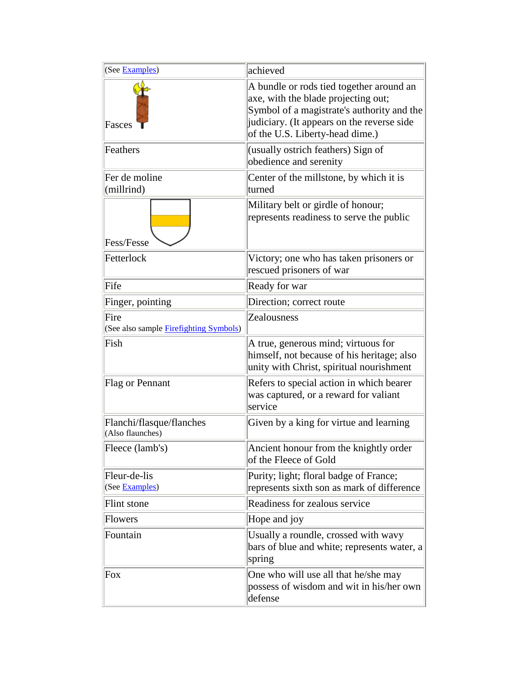| (See Examples)                                         | achieved                                                                                                                                                                                                       |
|--------------------------------------------------------|----------------------------------------------------------------------------------------------------------------------------------------------------------------------------------------------------------------|
| Fasces                                                 | A bundle or rods tied together around an<br>axe, with the blade projecting out;<br>Symbol of a magistrate's authority and the<br>judiciary. (It appears on the reverse side<br>of the U.S. Liberty-head dime.) |
| Feathers                                               | (usually ostrich feathers) Sign of<br>obedience and serenity                                                                                                                                                   |
| Fer de moline<br>(millrind)                            | Center of the millstone, by which it is<br>turned                                                                                                                                                              |
| Fess/Fesse                                             | Military belt or girdle of honour;<br>represents readiness to serve the public                                                                                                                                 |
| Fetterlock                                             | Victory; one who has taken prisoners or<br>rescued prisoners of war                                                                                                                                            |
| Fife                                                   | Ready for war                                                                                                                                                                                                  |
| Finger, pointing                                       | Direction; correct route                                                                                                                                                                                       |
| Fire<br>(See also sample <b>Firefighting Symbols</b> ) | Zealousness                                                                                                                                                                                                    |
| Fish                                                   | A true, generous mind; virtuous for<br>himself, not because of his heritage; also<br>unity with Christ, spiritual nourishment                                                                                  |
| Flag or Pennant                                        | Refers to special action in which bearer<br>was captured, or a reward for valiant<br>service                                                                                                                   |
| Flanchi/flasque/flanches<br>(Also flaunches)           | Given by a king for virtue and learning                                                                                                                                                                        |
| Fleece (lamb's)                                        | Ancient honour from the knightly order<br>of the Fleece of Gold                                                                                                                                                |
| Fleur-de-lis<br>(See Examples)                         | Purity; light; floral badge of France;<br>represents sixth son as mark of difference                                                                                                                           |
| Flint stone                                            | Readiness for zealous service                                                                                                                                                                                  |
| <b>Flowers</b>                                         | Hope and joy                                                                                                                                                                                                   |
| Fountain                                               | Usually a roundle, crossed with wavy<br>bars of blue and white; represents water, a<br>spring                                                                                                                  |
| Fox                                                    | One who will use all that he/she may<br>possess of wisdom and wit in his/her own<br>defense                                                                                                                    |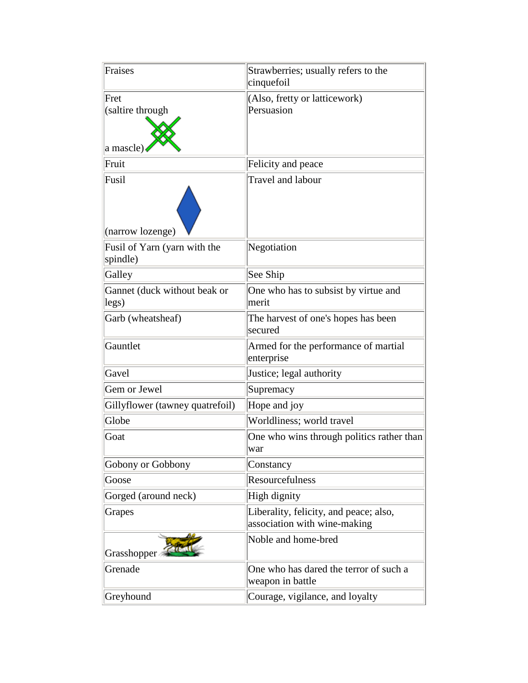| Fraises                                  | Strawberries; usually refers to the<br>cinquefoil                      |
|------------------------------------------|------------------------------------------------------------------------|
| Fret<br>(saltire through                 | (Also, fretty or latticework)<br>Persuasion                            |
| a mascle)<br>Fruit                       | Felicity and peace                                                     |
| Fusil<br>(narrow lozenge)                | Travel and labour                                                      |
| Fusil of Yarn (yarn with the<br>spindle) | Negotiation                                                            |
| Galley                                   | See Ship                                                               |
| Gannet (duck without beak or<br>legs)    | One who has to subsist by virtue and<br>merit                          |
| Garb (wheatsheaf)                        | The harvest of one's hopes has been<br>secured                         |
| Gauntlet                                 | Armed for the performance of martial<br>enterprise                     |
| Gavel                                    | Justice; legal authority                                               |
| Gem or Jewel                             | Supremacy                                                              |
| Gillyflower (tawney quatrefoil)          | Hope and joy                                                           |
| Globe                                    | Worldliness; world travel                                              |
| Goat                                     | One who wins through politics rather than<br>war                       |
| Gobony or Gobbony                        | Constancy                                                              |
| Goose                                    | Resourcefulness                                                        |
| Gorged (around neck)                     | High dignity                                                           |
| Grapes                                   | Liberality, felicity, and peace; also,<br>association with wine-making |
| Grasshopper                              | Noble and home-bred                                                    |
| Grenade                                  | One who has dared the terror of such a<br>weapon in battle             |
| Greyhound                                | Courage, vigilance, and loyalty                                        |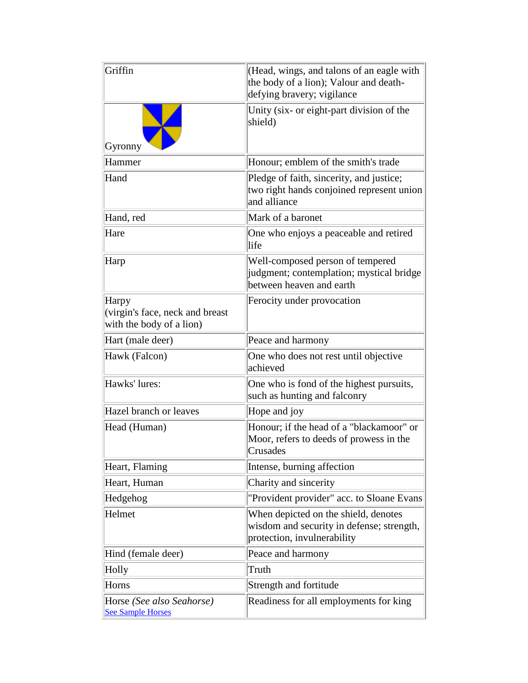| Griffin                                                              | (Head, wings, and talons of an eagle with<br>the body of a lion); Valour and death-<br>defying bravery; vigilance |
|----------------------------------------------------------------------|-------------------------------------------------------------------------------------------------------------------|
| Gyronny                                                              | Unity (six- or eight-part division of the<br>shield)                                                              |
| Hammer                                                               | Honour; emblem of the smith's trade                                                                               |
| Hand                                                                 | Pledge of faith, sincerity, and justice;<br>two right hands conjoined represent union<br>and alliance             |
| Hand, red                                                            | Mark of a baronet                                                                                                 |
| Hare                                                                 | One who enjoys a peaceable and retired<br>life                                                                    |
| Harp                                                                 | Well-composed person of tempered<br>judgment; contemplation; mystical bridge<br>between heaven and earth          |
| Harpy<br>(virgin's face, neck and breast<br>with the body of a lion) | Ferocity under provocation                                                                                        |
| Hart (male deer)                                                     | Peace and harmony                                                                                                 |
| Hawk (Falcon)                                                        | One who does not rest until objective<br>achieved                                                                 |
| Hawks' lures:                                                        | One who is fond of the highest pursuits,<br>such as hunting and falconry                                          |
| Hazel branch or leaves                                               | Hope and joy                                                                                                      |
| Head (Human)                                                         | Honour; if the head of a "blackamoor" or<br>Moor, refers to deeds of prowess in the<br>Crusades                   |
| Heart, Flaming                                                       | Intense, burning affection                                                                                        |
| Heart, Human                                                         | Charity and sincerity                                                                                             |
| Hedgehog                                                             | "Provident provider" acc. to Sloane Evans                                                                         |
| Helmet                                                               | When depicted on the shield, denotes<br>wisdom and security in defense; strength,<br>protection, invulnerability  |
| Hind (female deer)                                                   | Peace and harmony                                                                                                 |
| Holly                                                                | Truth                                                                                                             |
| Horns                                                                | Strength and fortitude                                                                                            |
| Horse (See also Seahorse)<br><b>See Sample Horses</b>                | Readiness for all employments for king                                                                            |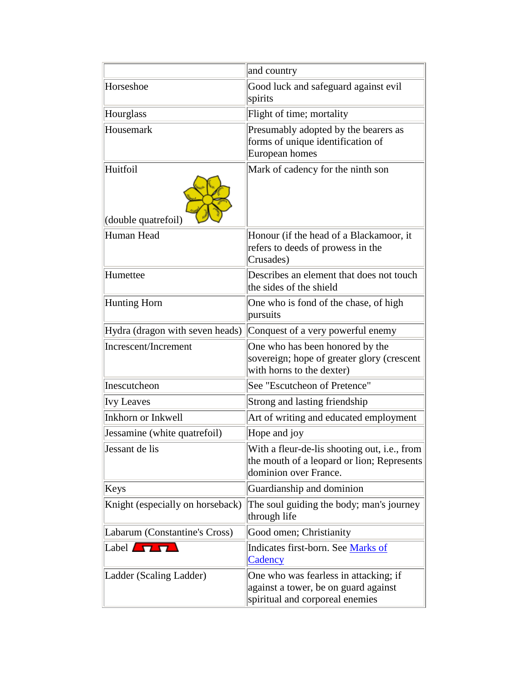|                                  | and country                                                                                                         |
|----------------------------------|---------------------------------------------------------------------------------------------------------------------|
| Horseshoe                        | Good luck and safeguard against evil<br>spirits                                                                     |
| Hourglass                        | Flight of time; mortality                                                                                           |
| Housemark                        | Presumably adopted by the bearers as<br>forms of unique identification of<br>European homes                         |
| Huitfoil<br>(double quatrefoil)  | Mark of cadency for the ninth son                                                                                   |
| Human Head                       | Honour (if the head of a Blackamoor, it<br>refers to deeds of prowess in the<br>Crusades)                           |
| Humettee                         | Describes an element that does not touch<br>the sides of the shield                                                 |
| Hunting Horn                     | One who is fond of the chase, of high<br>pursuits                                                                   |
| Hydra (dragon with seven heads)  | Conquest of a very powerful enemy                                                                                   |
| Increscent/Increment             | One who has been honored by the<br>sovereign; hope of greater glory (crescent<br>with horns to the dexter)          |
| Inescutcheon                     | See "Escutcheon of Pretence"                                                                                        |
| <b>Ivy Leaves</b>                | Strong and lasting friendship                                                                                       |
| Inkhorn or Inkwell               | Art of writing and educated employment                                                                              |
| Jessamine (white quatrefoil)     | Hope and joy                                                                                                        |
| Jessant de lis                   | With a fleur-de-lis shooting out, i.e., from<br>the mouth of a leopard or lion; Represents<br>dominion over France. |
| Keys                             | Guardianship and dominion                                                                                           |
| Knight (especially on horseback) | The soul guiding the body; man's journey<br>through life                                                            |
| Labarum (Constantine's Cross)    | Good omen; Christianity                                                                                             |
| Label $\Pi$                      | Indicates first-born. See Marks of<br>Cadency                                                                       |
| Ladder (Scaling Ladder)          | One who was fearless in attacking; if<br>against a tower, be on guard against<br>spiritual and corporeal enemies    |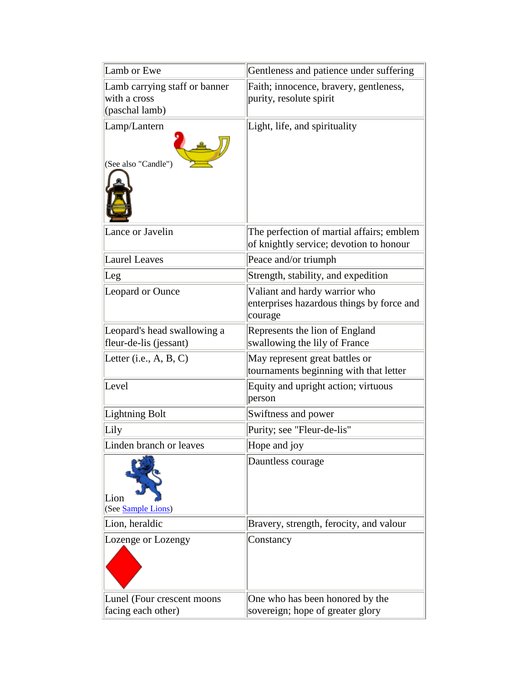| Lamb or Ewe                                                     | Gentleness and patience under suffering                                               |
|-----------------------------------------------------------------|---------------------------------------------------------------------------------------|
| Lamb carrying staff or banner<br>with a cross<br>(paschal lamb) | Faith; innocence, bravery, gentleness,<br>purity, resolute spirit                     |
| Lamp/Lantern<br>(See also "Candle")                             | Light, life, and spirituality                                                         |
| Lance or Javelin                                                | The perfection of martial affairs; emblem<br>of knightly service; devotion to honour  |
| <b>Laurel Leaves</b>                                            | Peace and/or triumph                                                                  |
| Leg                                                             | Strength, stability, and expedition                                                   |
| Leopard or Ounce                                                | Valiant and hardy warrior who<br>enterprises hazardous things by force and<br>courage |
| Leopard's head swallowing a<br>fleur-de-lis (jessant)           | Represents the lion of England<br>swallowing the lily of France                       |
| Letter (i.e., $A, B, C$ )                                       | May represent great battles or<br>tournaments beginning with that letter              |
| Level                                                           | Equity and upright action; virtuous<br>person                                         |
| Lightning Bolt                                                  | Swiftness and power                                                                   |
| Lily                                                            | Purity; see "Fleur-de-lis"                                                            |
| Linden branch or leaves                                         | Hope and joy                                                                          |
| Lion<br>(See Sample Lions)                                      | Dauntless courage                                                                     |
| Lion, heraldic                                                  | Bravery, strength, ferocity, and valour                                               |
| Lozenge or Lozengy                                              | Constancy                                                                             |
| Lunel (Four crescent moons)<br>facing each other)               | One who has been honored by the<br>sovereign; hope of greater glory                   |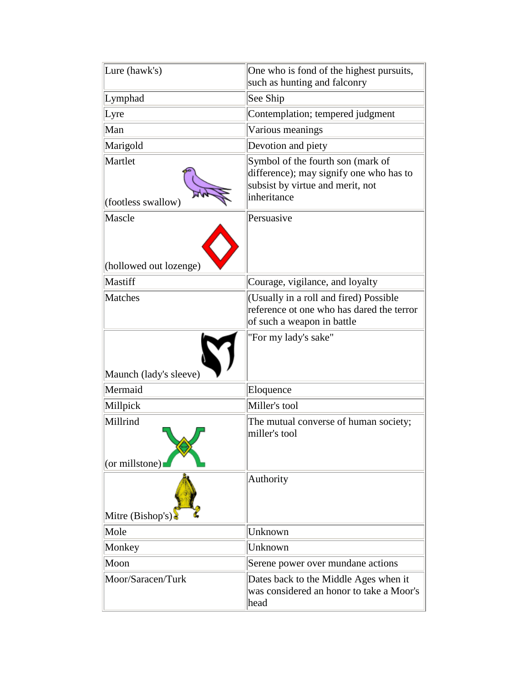| Lure (hawk's)                    | One who is fond of the highest pursuits,<br>such as hunting and falconry                                                        |
|----------------------------------|---------------------------------------------------------------------------------------------------------------------------------|
| Lymphad                          | See Ship                                                                                                                        |
| Lyre                             | Contemplation; tempered judgment                                                                                                |
| Man                              | Various meanings                                                                                                                |
| Marigold                         | Devotion and piety                                                                                                              |
| Martlet<br>(footless swallow)    | Symbol of the fourth son (mark of<br>difference); may signify one who has to<br>subsist by virtue and merit, not<br>inheritance |
| Mascle<br>(hollowed out lozenge) | Persuasive                                                                                                                      |
| Mastiff                          | Courage, vigilance, and loyalty                                                                                                 |
| <b>Matches</b>                   | (Usually in a roll and fired) Possible<br>reference ot one who has dared the terror<br>of such a weapon in battle               |
| Maunch (lady's sleeve)           | "For my lady's sake"                                                                                                            |
| Mermaid                          | Eloquence                                                                                                                       |
| Millpick                         | Miller's tool                                                                                                                   |
| Millrind<br>$ $ (or millstone)   | The mutual converse of human society;<br>miller's tool                                                                          |
| Mitre (Bishop's)                 | Authority                                                                                                                       |
| Mole                             | Unknown                                                                                                                         |
| Monkey                           | Unknown                                                                                                                         |
| Moon                             | Serene power over mundane actions                                                                                               |
| Moor/Saracen/Turk                | Dates back to the Middle Ages when it<br>was considered an honor to take a Moor's<br>head                                       |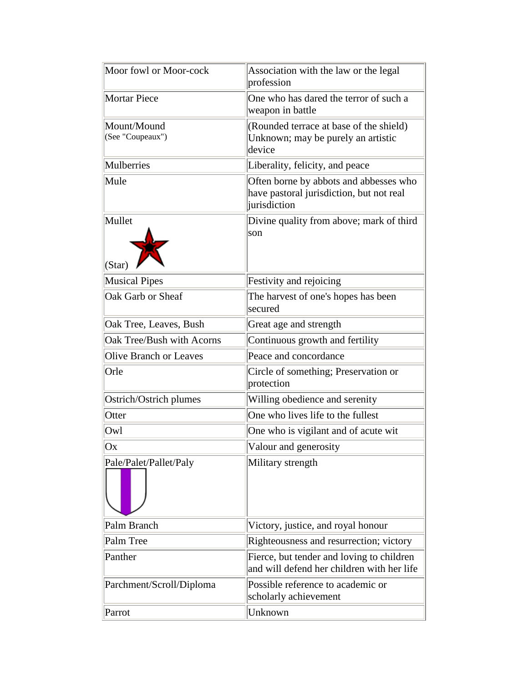| Moor fowl or Moor-cock          | Association with the law or the legal<br>profession                                                |
|---------------------------------|----------------------------------------------------------------------------------------------------|
| <b>Mortar Piece</b>             | One who has dared the terror of such a<br>weapon in battle                                         |
| Mount/Mound<br>(See "Coupeaux") | (Rounded terrace at base of the shield)<br>Unknown; may be purely an artistic<br>device            |
| Mulberries                      | Liberality, felicity, and peace                                                                    |
| Mule                            | Often borne by abbots and abbesses who<br>have pastoral jurisdiction, but not real<br>jurisdiction |
| Mullet<br>(Star)                | Divine quality from above; mark of third<br>son                                                    |
| <b>Musical Pipes</b>            | Festivity and rejoicing                                                                            |
| Oak Garb or Sheaf               | The harvest of one's hopes has been<br>secured                                                     |
| Oak Tree, Leaves, Bush          | Great age and strength                                                                             |
| Oak Tree/Bush with Acorns       | Continuous growth and fertility                                                                    |
| Olive Branch or Leaves          | Peace and concordance                                                                              |
| Orle                            | Circle of something; Preservation or<br>protection                                                 |
| Ostrich/Ostrich plumes          | Willing obedience and serenity                                                                     |
| Otter                           | One who lives life to the fullest                                                                  |
| Owl                             | One who is vigilant and of acute wit                                                               |
| Ox                              | Valour and generosity                                                                              |
| Pale/Palet/Pallet/Paly          | Military strength                                                                                  |
| Palm Branch                     | Victory, justice, and royal honour                                                                 |
| Palm Tree                       | Righteousness and resurrection; victory                                                            |
| Panther                         | Fierce, but tender and loving to children<br>and will defend her children with her life            |
| Parchment/Scroll/Diploma        | Possible reference to academic or<br>scholarly achievement                                         |
| Parrot                          | Unknown                                                                                            |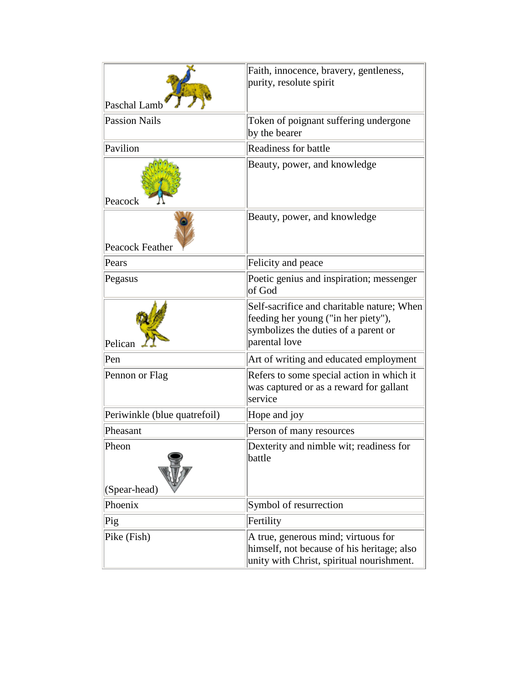| Paschal Lamb                 | Faith, innocence, bravery, gentleness,<br>purity, resolute spirit                                                                          |
|------------------------------|--------------------------------------------------------------------------------------------------------------------------------------------|
| <b>Passion Nails</b>         | Token of poignant suffering undergone<br>by the bearer                                                                                     |
| Pavilion                     | <b>Readiness for battle</b>                                                                                                                |
| Peacock                      | Beauty, power, and knowledge                                                                                                               |
| Peacock Feather              | Beauty, power, and knowledge                                                                                                               |
| Pears                        | Felicity and peace                                                                                                                         |
| Pegasus                      | Poetic genius and inspiration; messenger<br>of God                                                                                         |
| Pelican                      | Self-sacrifice and charitable nature; When<br>feeding her young ("in her piety"),<br>symbolizes the duties of a parent or<br>parental love |
| Pen                          | Art of writing and educated employment                                                                                                     |
| Pennon or Flag               | Refers to some special action in which it<br>was captured or as a reward for gallant<br>service                                            |
| Periwinkle (blue quatrefoil) | Hope and joy                                                                                                                               |
| Pheasant                     | Person of many resources                                                                                                                   |
| Pheon                        | Dexterity and nimble wit; readiness for<br>battle                                                                                          |
| (Spear-head)<br>Phoenix      | Symbol of resurrection                                                                                                                     |
| Pig                          | Fertility                                                                                                                                  |
| Pike (Fish)                  | A true, generous mind; virtuous for                                                                                                        |
|                              | himself, not because of his heritage; also<br>unity with Christ, spiritual nourishment.                                                    |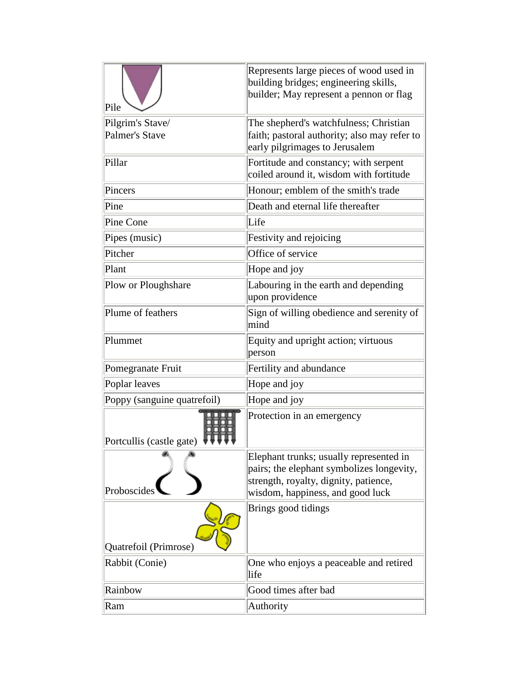| Pile                                      | Represents large pieces of wood used in<br>building bridges; engineering skills,<br>builder; May represent a pennon or flag                                       |
|-------------------------------------------|-------------------------------------------------------------------------------------------------------------------------------------------------------------------|
| Pilgrim's Stave/<br><b>Palmer's Stave</b> | The shepherd's watchfulness; Christian<br>faith; pastoral authority; also may refer to<br>early pilgrimages to Jerusalem                                          |
| Pillar                                    | Fortitude and constancy; with serpent<br>coiled around it, wisdom with fortitude                                                                                  |
| Pincers                                   | Honour; emblem of the smith's trade                                                                                                                               |
| Pine                                      | Death and eternal life thereafter                                                                                                                                 |
| Pine Cone                                 | Life                                                                                                                                                              |
| Pipes (music)                             | Festivity and rejoicing                                                                                                                                           |
| Pitcher                                   | Office of service                                                                                                                                                 |
| Plant                                     | Hope and joy                                                                                                                                                      |
| Plow or Ploughshare                       | Labouring in the earth and depending<br>upon providence                                                                                                           |
| Plume of feathers                         | Sign of willing obedience and serenity of<br>mind                                                                                                                 |
| Plummet                                   | Equity and upright action; virtuous<br>person                                                                                                                     |
| Pomegranate Fruit                         | Fertility and abundance                                                                                                                                           |
| Poplar leaves                             | Hope and joy                                                                                                                                                      |
| Poppy (sanguine quatrefoil)               | Hope and joy                                                                                                                                                      |
| Portcullis (castle gate)                  | Protection in an emergency                                                                                                                                        |
| Proboscides                               | Elephant trunks; usually represented in<br>pairs; the elephant symbolizes longevity,<br>strength, royalty, dignity, patience,<br>wisdom, happiness, and good luck |
| Quatrefoil (Primrose)                     | Brings good tidings                                                                                                                                               |
| Rabbit (Conie)                            | One who enjoys a peaceable and retired<br>life                                                                                                                    |
| Rainbow                                   | Good times after bad                                                                                                                                              |
| Ram                                       | Authority                                                                                                                                                         |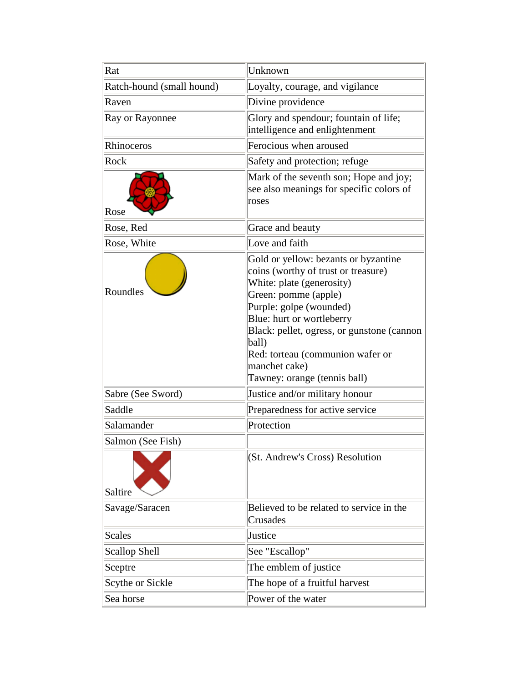| Rat                       | Unknown                                                                                                                                                                                                                                                                                                                               |
|---------------------------|---------------------------------------------------------------------------------------------------------------------------------------------------------------------------------------------------------------------------------------------------------------------------------------------------------------------------------------|
| Ratch-hound (small hound) | Loyalty, courage, and vigilance                                                                                                                                                                                                                                                                                                       |
| Raven                     | Divine providence                                                                                                                                                                                                                                                                                                                     |
| Ray or Rayonnee           | Glory and spendour; fountain of life;<br>intelligence and enlightenment                                                                                                                                                                                                                                                               |
| Rhinoceros                | Ferocious when aroused                                                                                                                                                                                                                                                                                                                |
| Rock                      | Safety and protection; refuge                                                                                                                                                                                                                                                                                                         |
| Rose                      | Mark of the seventh son; Hope and joy;<br>see also meanings for specific colors of<br>roses                                                                                                                                                                                                                                           |
| Rose, Red                 | Grace and beauty                                                                                                                                                                                                                                                                                                                      |
| Rose, White               | Love and faith                                                                                                                                                                                                                                                                                                                        |
| Roundles                  | Gold or yellow: bezants or byzantine<br>coins (worthy of trust or treasure)<br>White: plate (generosity)<br>Green: pomme (apple)<br>Purple: golpe (wounded)<br>Blue: hurt or wortleberry<br>Black: pellet, ogress, or gunstone (cannon)<br>ball)<br>Red: torteau (communion wafer or<br>manchet cake)<br>Tawney: orange (tennis ball) |
| Sabre (See Sword)         | Justice and/or military honour                                                                                                                                                                                                                                                                                                        |
| Saddle                    | Preparedness for active service                                                                                                                                                                                                                                                                                                       |
| Salamander                | Protection                                                                                                                                                                                                                                                                                                                            |
| Salmon (See Fish)         |                                                                                                                                                                                                                                                                                                                                       |
| Saltire                   | (St. Andrew's Cross) Resolution                                                                                                                                                                                                                                                                                                       |
| Savage/Saracen            | Believed to be related to service in the<br>Crusades                                                                                                                                                                                                                                                                                  |
| <b>Scales</b>             | Justice                                                                                                                                                                                                                                                                                                                               |
| <b>Scallop Shell</b>      | See "Escallop"                                                                                                                                                                                                                                                                                                                        |
| Sceptre                   | The emblem of justice                                                                                                                                                                                                                                                                                                                 |
| Scythe or Sickle          | The hope of a fruitful harvest                                                                                                                                                                                                                                                                                                        |
| Sea horse                 | Power of the water                                                                                                                                                                                                                                                                                                                    |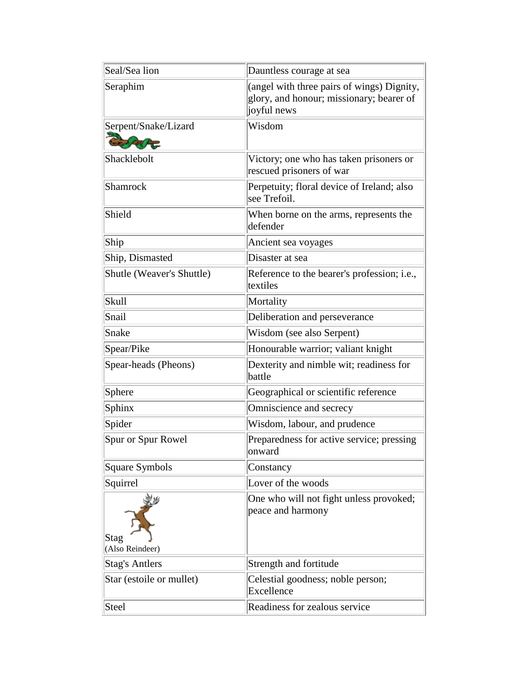| Seal/Sea lion             | Dauntless courage at sea                                                                              |
|---------------------------|-------------------------------------------------------------------------------------------------------|
| Seraphim                  | (angel with three pairs of wings) Dignity,<br>glory, and honour; missionary; bearer of<br>joyful news |
| Serpent/Snake/Lizard      | Wisdom                                                                                                |
| Shacklebolt               | Victory; one who has taken prisoners or<br>rescued prisoners of war                                   |
| Shamrock                  | Perpetuity; floral device of Ireland; also<br>see Trefoil.                                            |
| Shield                    | When borne on the arms, represents the<br>defender                                                    |
| Ship                      | Ancient sea voyages                                                                                   |
| Ship, Dismasted           | Disaster at sea                                                                                       |
| Shutle (Weaver's Shuttle) | Reference to the bearer's profession; i.e.,<br>textiles                                               |
| Skull                     | Mortality                                                                                             |
| Snail                     | Deliberation and perseverance                                                                         |
| Snake                     | Wisdom (see also Serpent)                                                                             |
| Spear/Pike                | Honourable warrior; valiant knight                                                                    |
| Spear-heads (Pheons)      | Dexterity and nimble wit; readiness for<br>battle                                                     |
| Sphere                    | Geographical or scientific reference                                                                  |
| Sphinx                    | Omniscience and secrecy                                                                               |
| Spider                    | Wisdom, labour, and prudence                                                                          |
| Spur or Spur Rowel        | Preparedness for active service; pressing<br>onward                                                   |
| <b>Square Symbols</b>     | Constancy                                                                                             |
| Squirrel                  | Lover of the woods                                                                                    |
| Stag<br>(Also Reindeer)   | One who will not fight unless provoked;<br>peace and harmony                                          |
| <b>Stag's Antlers</b>     | Strength and fortitude                                                                                |
| Star (estoile or mullet)  | Celestial goodness; noble person;<br>Excellence                                                       |
| Steel                     | Readiness for zealous service                                                                         |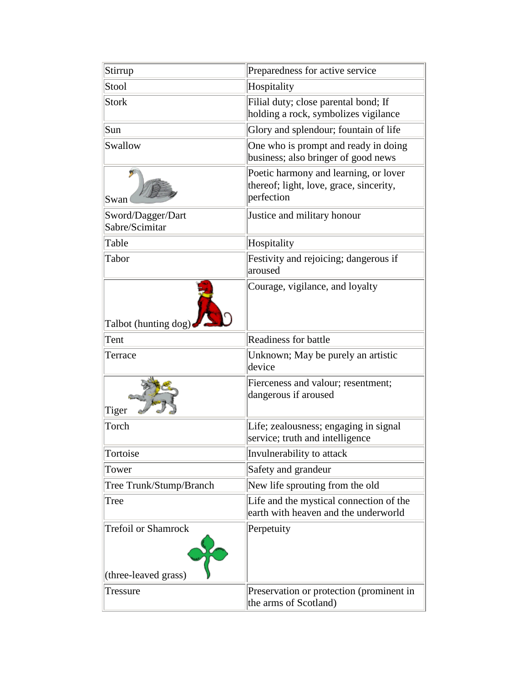| Stirrup                             | Preparedness for active service                                                                |
|-------------------------------------|------------------------------------------------------------------------------------------------|
| Stool                               | Hospitality                                                                                    |
| <b>Stork</b>                        | Filial duty; close parental bond; If<br>holding a rock, symbolizes vigilance                   |
| Sun                                 | Glory and splendour; fountain of life                                                          |
| Swallow                             | One who is prompt and ready in doing<br>business; also bringer of good news                    |
| Swan                                | Poetic harmony and learning, or lover<br>thereof; light, love, grace, sincerity,<br>perfection |
| Sword/Dagger/Dart<br>Sabre/Scimitar | Justice and military honour                                                                    |
| Table                               | Hospitality                                                                                    |
| Tabor                               | Festivity and rejoicing; dangerous if<br>aroused                                               |
| Talbot (hunting dog)                | Courage, vigilance, and loyalty                                                                |
| Tent                                | <b>Readiness for battle</b>                                                                    |
| Terrace                             | Unknown; May be purely an artistic<br>device                                                   |
| Tiger                               | Fierceness and valour; resentment;<br>dangerous if aroused                                     |
| Torch                               | Life; zealousness; engaging in signal<br>service; truth and intelligence                       |
| Tortoise                            | Invulnerability to attack                                                                      |
| Tower                               | Safety and grandeur                                                                            |
| Tree Trunk/Stump/Branch             | New life sprouting from the old                                                                |
| Tree                                | Life and the mystical connection of the<br>earth with heaven and the underworld                |
| <b>Trefoil or Shamrock</b>          | Perpetuity                                                                                     |
| (three-leaved grass)                |                                                                                                |